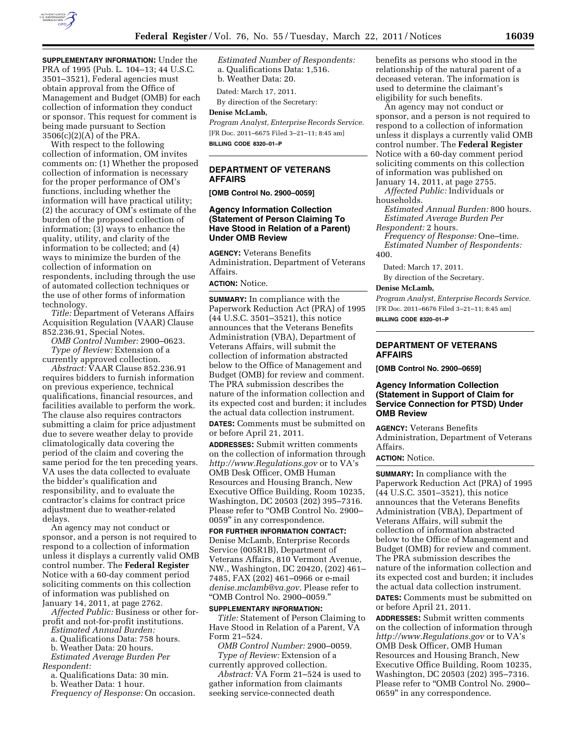

**SUPPLEMENTARY INFORMATION:** Under the PRA of 1995 (Pub. L. 104–13; 44 U.S.C. 3501–3521), Federal agencies must obtain approval from the Office of Management and Budget (OMB) for each collection of information they conduct or sponsor. This request for comment is being made pursuant to Section 3506(c)(2)(A) of the PRA.

With respect to the following collection of information, OM invites comments on: (1) Whether the proposed collection of information is necessary for the proper performance of OM's functions, including whether the information will have practical utility; (2) the accuracy of OM's estimate of the burden of the proposed collection of information; (3) ways to enhance the quality, utility, and clarity of the information to be collected; and (4) ways to minimize the burden of the collection of information on respondents, including through the use of automated collection techniques or the use of other forms of information technology.

*Title:* Department of Veterans Affairs Acquisition Regulation (VAAR) Clause 852.236.91, Special Notes.

*OMB Control Number:* 2900–0623. *Type of Review:* Extension of a currently approved collection.

*Abstract:* VAAR Clause 852.236.91 requires bidders to furnish information on previous experience, technical qualifications, financial resources, and facilities available to perform the work. The clause also requires contractors submitting a claim for price adjustment due to severe weather delay to provide climatologically data covering the period of the claim and covering the same period for the ten preceding years. VA uses the data collected to evaluate the bidder's qualification and responsibility, and to evaluate the contractor's claims for contract price adjustment due to weather-related delays.

An agency may not conduct or sponsor, and a person is not required to respond to a collection of information unless it displays a currently valid OMB control number. The **Federal Register**  Notice with a 60-day comment period soliciting comments on this collection of information was published on January 14, 2011, at page 2762.

*Affected Public:* Business or other forprofit and not-for-profit institutions.

*Estimated Annual Burden:* 

a. Qualifications Data: 758 hours.

b. Weather Data: 20 hours.

*Estimated Average Burden Per Respondent:* 

a. Qualifications Data: 30 min.

b. Weather Data: 1 hour.

*Frequency of Response:* On occasion.

*Estimated Number of Respondents:*  a. Qualifications Data: 1,516. b. Weather Data: 20.

Dated: March 17, 2011.

By direction of the Secretary:

# **Denise McLamb,**

*Program Analyst, Enterprise Records Service.*  [FR Doc. 2011–6675 Filed 3–21–11; 8:45 am] **BILLING CODE 8320–01–P** 

# **DEPARTMENT OF VETERANS AFFAIRS**

**[OMB Control No. 2900–0059]** 

#### **Agency Information Collection (Statement of Person Claiming To Have Stood in Relation of a Parent) Under OMB Review**

**AGENCY:** Veterans Benefits Administration, Department of Veterans Affairs.

## **ACTION:** Notice.

**SUMMARY:** In compliance with the Paperwork Reduction Act (PRA) of 1995 (44 U.S.C. 3501–3521), this notice announces that the Veterans Benefits Administration (VBA), Department of Veterans Affairs, will submit the collection of information abstracted below to the Office of Management and Budget (OMB) for review and comment. The PRA submission describes the nature of the information collection and its expected cost and burden; it includes the actual data collection instrument.

**DATES:** Comments must be submitted on or before April 21, 2011.

**ADDRESSES:** Submit written comments on the collection of information through *<http://www.Regulations.gov>*or to VA's OMB Desk Officer, OMB Human Resources and Housing Branch, New Executive Office Building, Room 10235, Washington, DC 20503 (202) 395–7316. Please refer to "OMB Control No. 2900-0059'' in any correspondence.

#### **FOR FURTHER INFORMATION CONTACT:**

Denise McLamb, Enterprise Records Service (005R1B), Department of Veterans Affairs, 810 Vermont Avenue, NW., Washington, DC 20420, (202) 461– 7485, FAX (202) 461–0966 or e-mail *[denise.mclamb@va.gov.](mailto:denise.mclamb@va.gov)* Please refer to ''OMB Control No. 2900–0059.''

#### **SUPPLEMENTARY INFORMATION:**

*Title:* Statement of Person Claiming to Have Stood in Relation of a Parent, VA Form 21–524.

*OMB Control Number:* 2900–0059. *Type of Review:* Extension of a currently approved collection.

*Abstract:* VA Form 21–524 is used to gather information from claimants seeking service-connected death

benefits as persons who stood in the relationship of the natural parent of a deceased veteran. The information is used to determine the claimant's eligibility for such benefits.

An agency may not conduct or sponsor, and a person is not required to respond to a collection of information unless it displays a currently valid OMB control number. The **Federal Register**  Notice with a 60-day comment period soliciting comments on this collection of information was published on January 14, 2011, at page 2755.

*Affected Public:* Individuals or households.

*Estimated Annual Burden:* 800 hours. *Estimated Average Burden Per* 

*Respondent:* 2 hours.

*Frequency of Response:* One–time. *Estimated Number of Respondents:*  400.

Dated: March 17, 2011.

By direction of the Secretary.

#### **Denise McLamb,**

*Program Analyst, Enterprise Records Service.*  [FR Doc. 2011–6676 Filed 3–21–11; 8:45 am] **BILLING CODE 8320–01–P** 

#### **DEPARTMENT OF VETERANS AFFAIRS**

**[OMB Control No. 2900–0659]** 

#### **Agency Information Collection (Statement in Support of Claim for Service Connection for PTSD) Under OMB Review**

**AGENCY:** Veterans Benefits Administration, Department of Veterans Affairs.

#### **ACTION:** Notice.

**SUMMARY:** In compliance with the Paperwork Reduction Act (PRA) of 1995 (44 U.S.C. 3501–3521), this notice announces that the Veterans Benefits Administration (VBA), Department of Veterans Affairs, will submit the collection of information abstracted below to the Office of Management and Budget (OMB) for review and comment. The PRA submission describes the nature of the information collection and its expected cost and burden; it includes the actual data collection instrument.

**DATES:** Comments must be submitted on or before April 21, 2011.

**ADDRESSES:** Submit written comments on the collection of information through *<http://www.Regulations.gov>*or to VA's OMB Desk Officer, OMB Human Resources and Housing Branch, New Executive Office Building, Room 10235, Washington, DC 20503 (202) 395–7316. Please refer to "OMB Control No. 2900-0659'' in any correspondence.